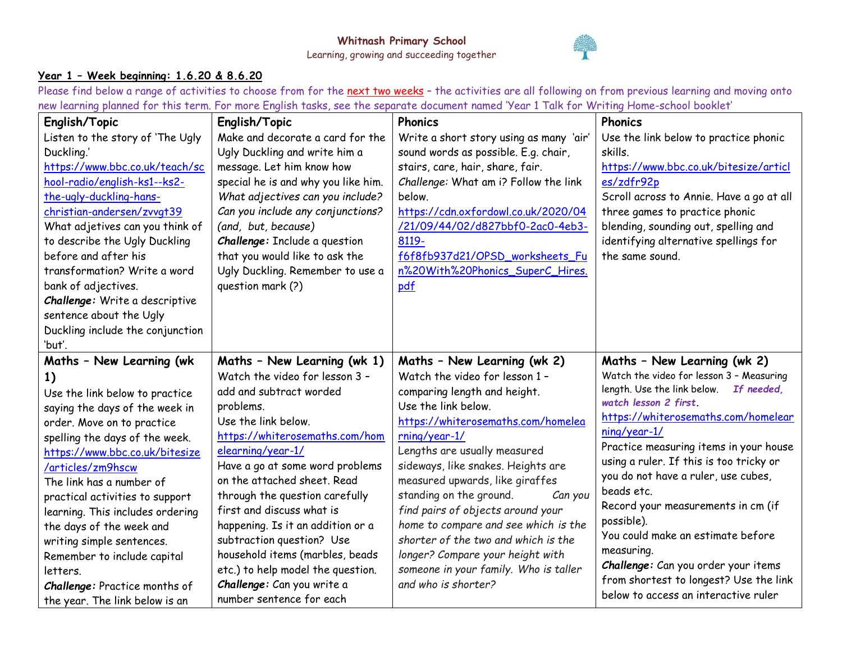

## **Year 1 – Week beginning: 1.6.20 & 8.6.20**

Please find below a range of activities to choose from for the next two weeks - the activities are all following on from previous learning and moving onto new learning planned for this term. For more English tasks, see the separate document named 'Year 1 Talk for Writing Home-school booklet'

| English/Topic                    | English/Topic                       | <b>Phonics</b>                          | <b>Phonics</b>                                                                    |
|----------------------------------|-------------------------------------|-----------------------------------------|-----------------------------------------------------------------------------------|
| Listen to the story of 'The Ugly | Make and decorate a card for the    | Write a short story using as many 'air' | Use the link below to practice phonic                                             |
| Duckling.'                       | Ugly Duckling and write him a       | sound words as possible. E.g. chair,    | skills.                                                                           |
| https://www.bbc.co.uk/teach/sc   | message. Let him know how           | stairs, care, hair, share, fair.        | https://www.bbc.co.uk/bitesize/articl                                             |
| hool-radio/english-ks1--ks2-     | special he is and why you like him. | Challenge: What am i? Follow the link   | es/zdfr92p                                                                        |
| the-ugly-duckling-hans-          | What adjectives can you include?    | below.                                  | Scroll across to Annie. Have a go at all                                          |
| christian-andersen/zvvqt39       | Can you include any conjunctions?   | https://cdn.oxfordowl.co.uk/2020/04     | three games to practice phonic                                                    |
| What adjetives can you think of  | (and, but, because)                 | /21/09/44/02/d827bbf0-2ac0-4eb3-        | blending, sounding out, spelling and                                              |
| to describe the Ugly Duckling    | Challenge: Include a question       | 8119-                                   | identifying alternative spellings for                                             |
| before and after his             | that you would like to ask the      | f6f8fb937d21/OPSD worksheets Fu         | the same sound.                                                                   |
| transformation? Write a word     | Ugly Duckling. Remember to use a    | n%20With%20Phonics_SuperC_Hires.        |                                                                                   |
| bank of adjectives.              | question mark (?)                   | pdf                                     |                                                                                   |
| Challenge: Write a descriptive   |                                     |                                         |                                                                                   |
| sentence about the Ugly          |                                     |                                         |                                                                                   |
| Duckling include the conjunction |                                     |                                         |                                                                                   |
| 'but'.                           |                                     |                                         |                                                                                   |
| Maths - New Learning (wk         | Maths - New Learning (wk 1)         | Maths - New Learning (wk 2)             | Maths - New Learning (wk 2)                                                       |
| 1)                               | Watch the video for lesson 3 -      | Watch the video for lesson 1 -          | Watch the video for lesson 3 - Measuring                                          |
| Use the link below to practice   | add and subtract worded             | comparing length and height.            | length. Use the link below. If needed,                                            |
| saying the days of the week in   | problems.                           | Use the link below.                     | watch lesson 2 first.<br>https://whiterosemaths.com/homelear                      |
| order. Move on to practice       | Use the link below.                 | https://whiterosemaths.com/homelea      |                                                                                   |
| spelling the days of the week.   | https://whiterosemaths.com/hom      | rning/year-1/                           | ning/year-1/                                                                      |
| https://www.bbc.co.uk/bitesize   | elearning/year-1/                   | Lengths are usually measured            | Practice measuring items in your house<br>using a ruler. If this is too tricky or |
| /articles/zm9hscw                | Have a go at some word problems     | sideways, like snakes. Heights are      | you do not have a ruler, use cubes,                                               |
| The link has a number of         | on the attached sheet. Read         | measured upwards, like giraffes         | beads etc.                                                                        |
| practical activities to support  | through the question carefully      | standing on the ground.<br>Can you      |                                                                                   |
| learning. This includes ordering | first and discuss what is           | find pairs of objects around your       | Record your measurements in cm (if<br>possible).                                  |
| the days of the week and         | happening. Is it an addition or a   | home to compare and see which is the    | You could make an estimate before                                                 |
| writing simple sentences.        | subtraction question? Use           | shorter of the two and which is the     |                                                                                   |
| Remember to include capital      | household items (marbles, beads     | longer? Compare your height with        | measuring.<br>Challenge: Can you order your items                                 |
| letters.                         | etc.) to help model the question.   | someone in your family. Who is taller   | from shortest to longest? Use the link                                            |
| Challenge: Practice months of    | Challenge: Can you write a          | and who is shorter?                     | below to access an interactive ruler                                              |
| the year. The link below is an   | number sentence for each            |                                         |                                                                                   |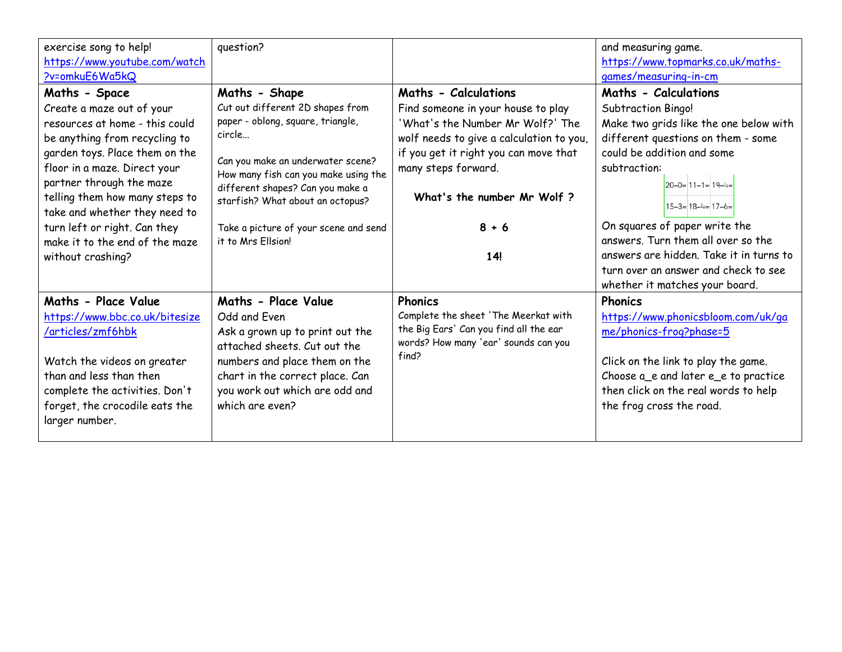| exercise song to help!<br>https://www.youtube.com/watch<br>?v=omkuE6Wa5kQ                   | question?                                                                 |                                                                                | and measuring game.<br>https://www.topmarks.co.uk/maths-<br>games/measuring-in-cm |  |
|---------------------------------------------------------------------------------------------|---------------------------------------------------------------------------|--------------------------------------------------------------------------------|-----------------------------------------------------------------------------------|--|
| Maths - Space                                                                               | Maths - Shape                                                             | Maths - Calculations                                                           | Maths - Calculations                                                              |  |
| Create a maze out of your<br>resources at home - this could                                 | Cut out different 2D shapes from<br>paper - oblong, square, triangle,     | Find someone in your house to play<br>'What's the Number Mr Wolf?' The         | Subtraction Bingo!                                                                |  |
| be anything from recycling to                                                               | circle                                                                    | wolf needs to give a calculation to you,                                       | Make two grids like the one below with<br>different questions on them - some      |  |
| garden toys. Place them on the<br>floor in a maze. Direct your                              | Can you make an underwater scene?<br>How many fish can you make using the | if you get it right you can move that<br>many steps forward.                   | could be addition and some<br>subtraction:                                        |  |
| partner through the maze<br>telling them how many steps to<br>take and whether they need to | different shapes? Can you make a<br>starfish? What about an octopus?      | What's the number Mr Wolf?                                                     | $20-0=11-1=19-4=$<br>$15-3=18-4=17-6=$                                            |  |
| turn left or right. Can they                                                                | Take a picture of your scene and send                                     | $8 + 6$                                                                        | On squares of paper write the                                                     |  |
| make it to the end of the maze                                                              | it to Mrs Ellsion!                                                        |                                                                                | answers. Turn them all over so the                                                |  |
| without crashing?                                                                           |                                                                           | 14!                                                                            | answers are hidden. Take it in turns to<br>turn over an answer and check to see   |  |
|                                                                                             |                                                                           |                                                                                | whether it matches your board.                                                    |  |
| Maths - Place Value                                                                         | Maths - Place Value                                                       | <b>Phonics</b>                                                                 | <b>Phonics</b>                                                                    |  |
| https://www.bbc.co.uk/bitesize                                                              | Odd and Even                                                              | Complete the sheet 'The Meerkat with                                           | https://www.phonicsbloom.com/uk/ga                                                |  |
| /articles/zmf6hbk                                                                           | Ask a grown up to print out the<br>attached sheets. Cut out the           | the Big Ears' Can you find all the ear<br>words? How many 'ear' sounds can you | me/phonics-frog?phase=5                                                           |  |
| Watch the videos on greater                                                                 | numbers and place them on the                                             | find?                                                                          | Click on the link to play the game.                                               |  |
| than and less than then                                                                     | chart in the correct place. Can                                           |                                                                                | Choose a_e and later e_e to practice                                              |  |
| complete the activities. Don't                                                              | you work out which are odd and                                            |                                                                                | then click on the real words to help                                              |  |
| forget, the crocodile eats the<br>larger number.                                            | which are even?                                                           |                                                                                | the frog cross the road.                                                          |  |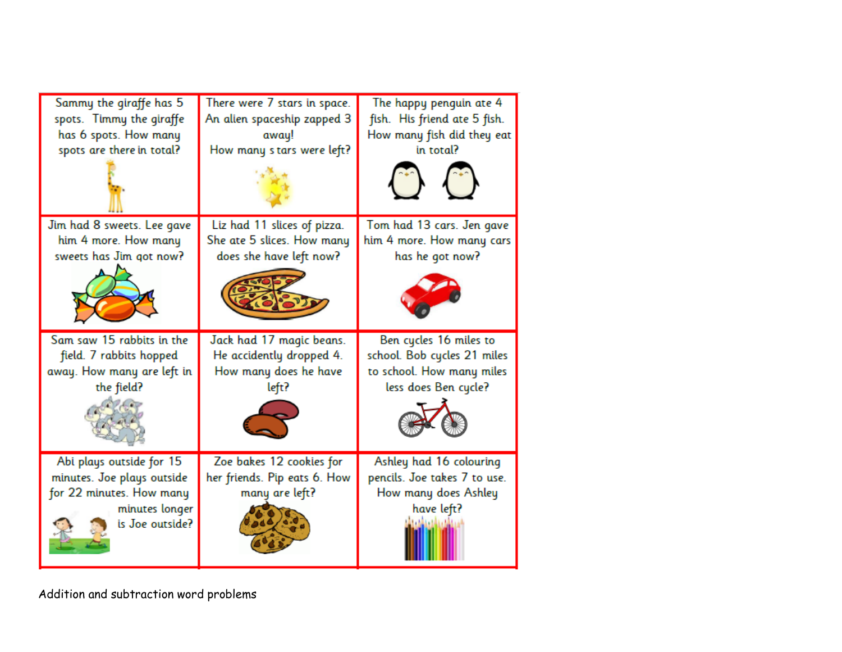| Sammy the giraffe has 5    | There were 7 stars in space. | The happy penguin ate 4      |
|----------------------------|------------------------------|------------------------------|
| spots. Timmy the giraffe   | An alien spaceship zapped 3  | fish. His friend ate 5 fish. |
| has 6 spots. How many      | away!                        | How many fish did they eat   |
| spots are there in total?  | How many stars were left?    | in total?                    |
| Jim had 8 sweets. Lee gave | Liz had 11 slices of pizza.  | Tom had 13 cars. Jen gave    |
| him 4 more. How many       | She ate 5 slices. How many   | him 4 more. How many cars    |
| sweets has Jim got now?    | does she have left now?      | has he got now?              |
|                            |                              |                              |
| Sam saw 15 rabbits in the  | Jack had 17 magic beans.     | Ben cycles 16 miles to       |
| field. 7 rabbits hopped    | He accidently dropped 4.     | school. Bob cycles 21 miles  |
| away. How many are left in | How many does he have        | to school. How many miles    |
| the field?                 | left?                        | less does Ben cycle?         |

Addition and subtraction word problems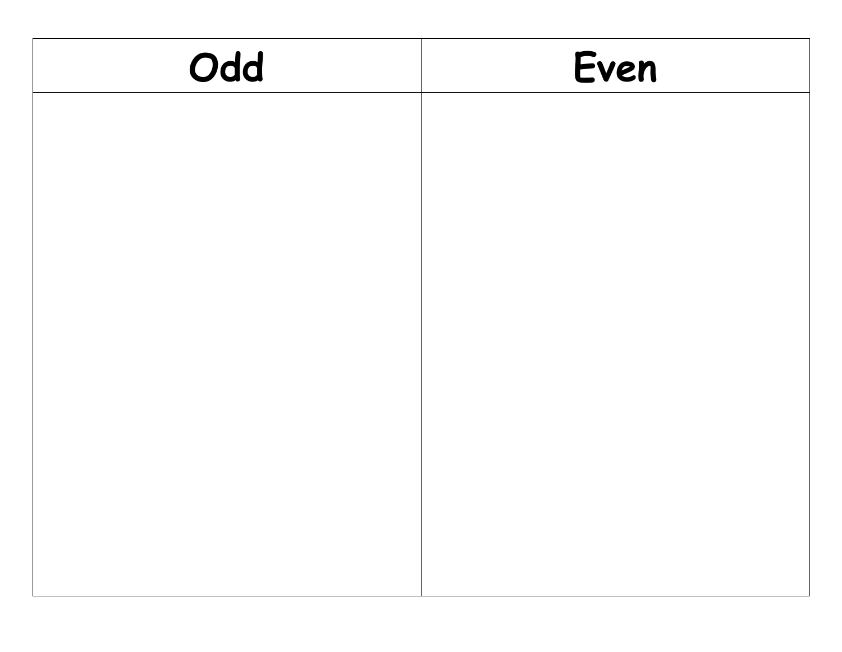| Odd | Even |
|-----|------|
|     |      |
|     |      |
|     |      |
|     |      |
|     |      |
|     |      |
|     |      |
|     |      |
|     |      |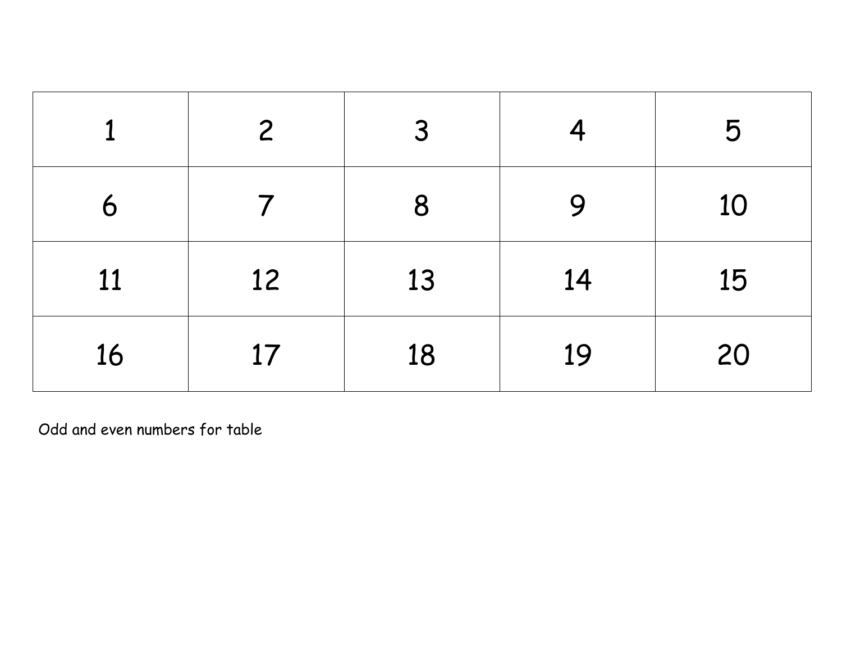|    | $\mathsf{2}$ | $\overline{3}$ |    | 5  |
|----|--------------|----------------|----|----|
| 6  |              | 8              | 9  | 10 |
| 11 | 12           | 13             | 14 | 15 |
| 16 | 17           | 18             | 19 | 20 |

Odd and even numbers for table